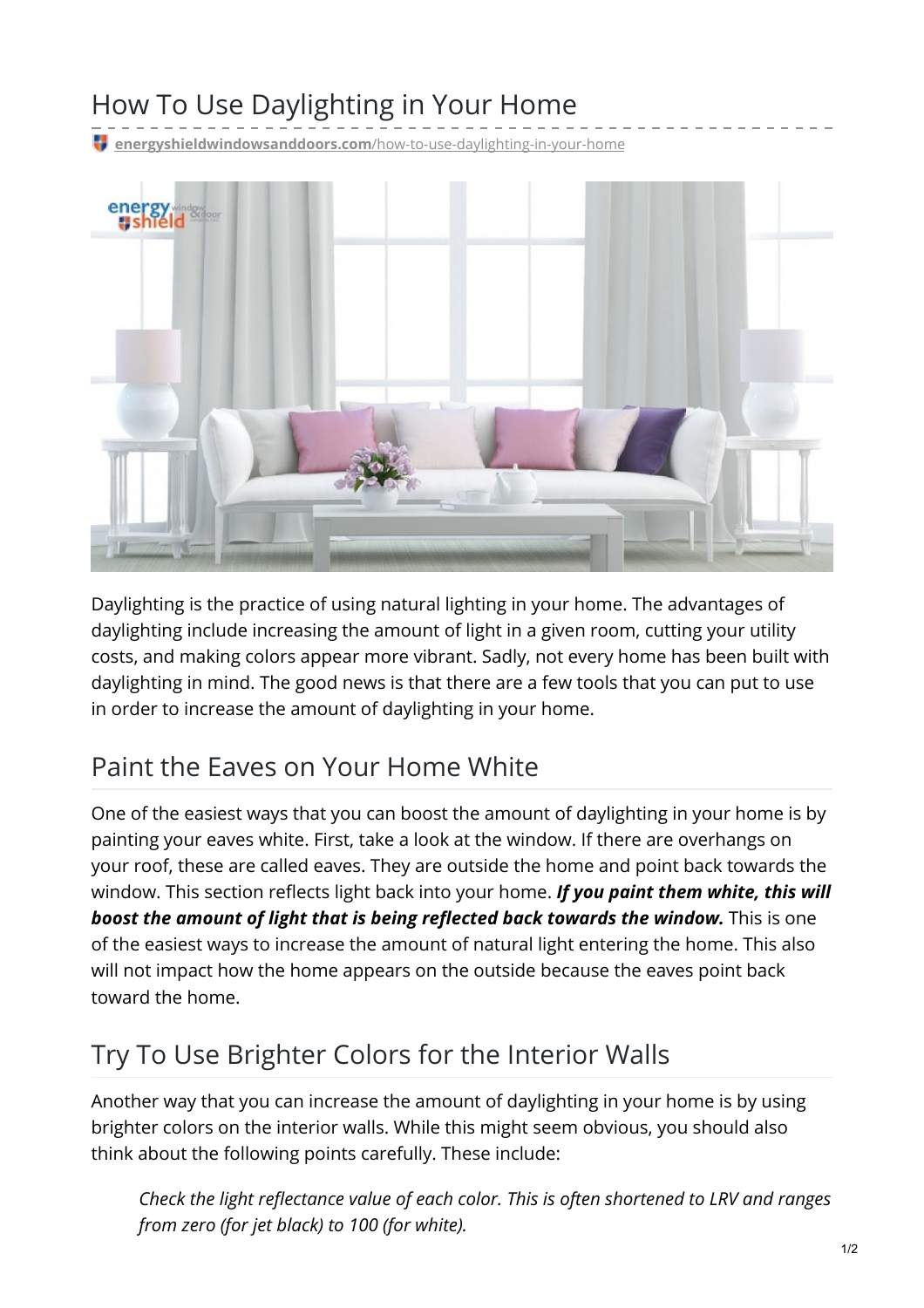# How To Use Daylighting in Your Home

**[energyshieldwindowsanddoors.com](https://energyshieldwindowsanddoors.com/how-to-use-daylighting-in-your-home/)**/how-to-use-daylighting-in-your-home



Daylighting is the practice of using natural lighting in your home. The advantages of daylighting include increasing the amount of light in a given room, cutting your utility costs, and making colors appear more vibrant. Sadly, not every home has been built with daylighting in mind. The good news is that there are a few tools that you can put to use in order to increase the amount of daylighting in your home.

#### Paint the Eaves on Your Home White

One of the easiest ways that you can boost the amount of daylighting in your home is by painting your eaves white. First, take a look at the window. If there are overhangs on your roof, these are called eaves. They are outside the home and point back towards the window. This section reflects light back into your home. *If you paint them white, this will boost the amount of light that is being reflected back towards the window.* This is one of the easiest ways to increase the amount of natural light entering the home. This also will not impact how the home appears on the outside because the eaves point back toward the home.

## Try To Use Brighter Colors for the Interior Walls

Another way that you can increase the amount of daylighting in your home is by using brighter colors on the interior walls. While this might seem obvious, you should also think about the following points carefully. These include:

*Check the light reflectance value of each color. This is often shortened to LRV and ranges from zero (for jet black) to 100 (for white).*